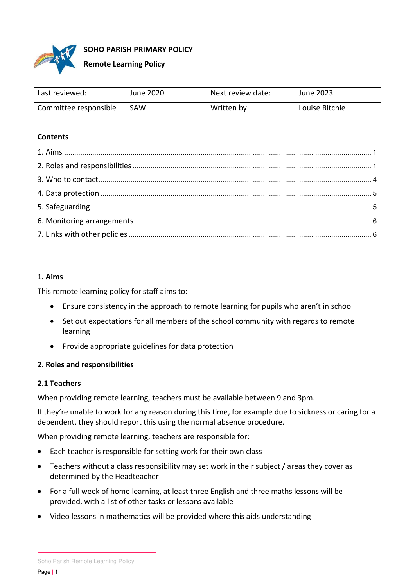

# **Remote Learning Policy**

| Last reviewed:        | June 2020 | Next review date: | June 2023      |
|-----------------------|-----------|-------------------|----------------|
| Committee responsible | SAW       | Written by        | Louise Ritchie |

### **Contents**

## <span id="page-0-0"></span>**1. Aims**

This remote learning policy for staff aims to:

- Ensure consistency in the approach to remote learning for pupils who aren't in school
- Set out expectations for all members of the school community with regards to remote learning
- Provide appropriate guidelines for data protection

## <span id="page-0-1"></span>**2. Roles and responsibilities**

## **2.1 Teachers**

When providing remote learning, teachers must be available between 9 and 3pm.

If they're unable to work for any reason during this time, for example due to sickness or caring for a dependent, they should report this using the normal absence procedure.

When providing remote learning, teachers are responsible for:

- Each teacher is responsible for setting work for their own class
- Teachers without a class responsibility may set work in their subject / areas they cover as determined by the Headteacher
- For a full week of home learning, at least three English and three maths lessons will be provided, with a list of other tasks or lessons available
- Video lessons in mathematics will be provided where this aids understanding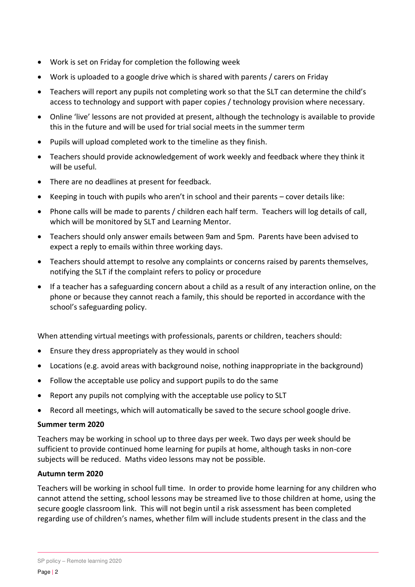- Work is set on Friday for completion the following week
- Work is uploaded to a google drive which is shared with parents / carers on Friday
- Teachers will report any pupils not completing work so that the SLT can determine the child's access to technology and support with paper copies / technology provision where necessary.
- Online 'live' lessons are not provided at present, although the technology is available to provide this in the future and will be used for trial social meets in the summer term
- Pupils will upload completed work to the timeline as they finish.
- Teachers should provide acknowledgement of work weekly and feedback where they think it will be useful.
- There are no deadlines at present for feedback.
- Keeping in touch with pupils who aren't in school and their parents cover details like:
- Phone calls will be made to parents / children each half term. Teachers will log details of call, which will be monitored by SLT and Learning Mentor.
- Teachers should only answer emails between 9am and 5pm. Parents have been advised to expect a reply to emails within three working days.
- Teachers should attempt to resolve any complaints or concerns raised by parents themselves, notifying the SLT if the complaint refers to policy or procedure
- If a teacher has a safeguarding concern about a child as a result of any interaction online, on the phone or because they cannot reach a family, this should be reported in accordance with the school's safeguarding policy.

When attending virtual meetings with professionals, parents or children, teachers should:

- Ensure they dress appropriately as they would in school
- Locations (e.g. avoid areas with background noise, nothing inappropriate in the background)
- Follow the acceptable use policy and support pupils to do the same
- Report any pupils not complying with the acceptable use policy to SLT
- Record all meetings, which will automatically be saved to the secure school google drive.

#### **Summer term 2020**

Teachers may be working in school up to three days per week. Two days per week should be sufficient to provide continued home learning for pupils at home, although tasks in non-core subjects will be reduced. Maths video lessons may not be possible.

#### **Autumn term 2020**

Teachers will be working in school full time. In order to provide home learning for any children who cannot attend the setting, school lessons may be streamed live to those children at home, using the secure google classroom link. This will not begin until a risk assessment has been completed regarding use of children's names, whether film will include students present in the class and the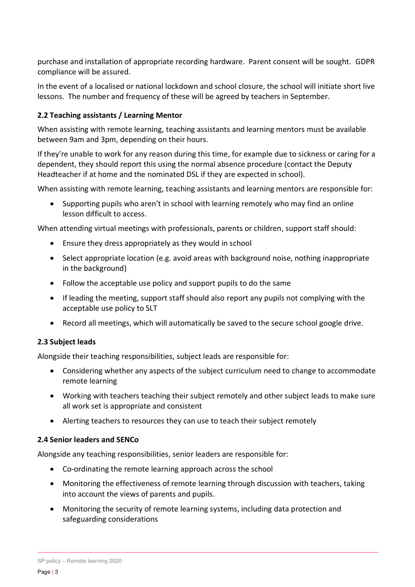purchase and installation of appropriate recording hardware. Parent consent will be sought. GDPR compliance will be assured.

In the event of a localised or national lockdown and school closure, the school will initiate short live lessons. The number and frequency of these will be agreed by teachers in September.

## **2.2 Teaching assistants / Learning Mentor**

When assisting with remote learning, teaching assistants and learning mentors must be available between 9am and 3pm, depending on their hours.

If they're unable to work for any reason during this time, for example due to sickness or caring for a dependent, they should report this using the normal absence procedure (contact the Deputy Headteacher if at home and the nominated DSL if they are expected in school).

When assisting with remote learning, teaching assistants and learning mentors are responsible for:

 Supporting pupils who aren't in school with learning remotely who may find an online lesson difficult to access.

When attending virtual meetings with professionals, parents or children, support staff should:

- Ensure they dress appropriately as they would in school
- Select appropriate location (e.g. avoid areas with background noise, nothing inappropriate in the background)
- Follow the acceptable use policy and support pupils to do the same
- If leading the meeting, support staff should also report any pupils not complying with the acceptable use policy to SLT
- Record all meetings, which will automatically be saved to the secure school google drive.

## **2.3 Subject leads**

Alongside their teaching responsibilities, subject leads are responsible for:

- Considering whether any aspects of the subject curriculum need to change to accommodate remote learning
- Working with teachers teaching their subject remotely and other subject leads to make sure all work set is appropriate and consistent
- Alerting teachers to resources they can use to teach their subject remotely

## **2.4 Senior leaders and SENCo**

Alongside any teaching responsibilities, senior leaders are responsible for:

- Co-ordinating the remote learning approach across the school
- Monitoring the effectiveness of remote learning through discussion with teachers, taking into account the views of parents and pupils.
- Monitoring the security of remote learning systems, including data protection and safeguarding considerations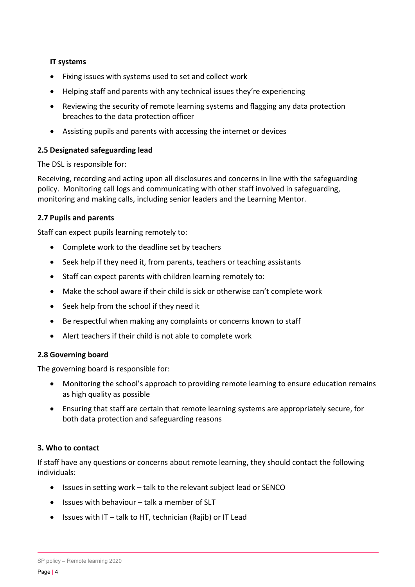## **IT systems**

- Fixing issues with systems used to set and collect work
- Helping staff and parents with any technical issues they're experiencing
- Reviewing the security of remote learning systems and flagging any data protection breaches to the data protection officer
- Assisting pupils and parents with accessing the internet or devices

### **2.5 Designated safeguarding lead**

The DSL is responsible for:

Receiving, recording and acting upon all disclosures and concerns in line with the safeguarding policy. Monitoring call logs and communicating with other staff involved in safeguarding, monitoring and making calls, including senior leaders and the Learning Mentor.

### **2.7 Pupils and parents**

Staff can expect pupils learning remotely to:

- Complete work to the deadline set by teachers
- Seek help if they need it, from parents, teachers or teaching assistants
- Staff can expect parents with children learning remotely to:
- Make the school aware if their child is sick or otherwise can't complete work
- Seek help from the school if they need it
- Be respectful when making any complaints or concerns known to staff
- Alert teachers if their child is not able to complete work

#### **2.8 Governing board**

The governing board is responsible for:

- Monitoring the school's approach to providing remote learning to ensure education remains as high quality as possible
- Ensuring that staff are certain that remote learning systems are appropriately secure, for both data protection and safeguarding reasons

## <span id="page-3-0"></span>**3. Who to contact**

If staff have any questions or concerns about remote learning, they should contact the following individuals:

- Issues in setting work talk to the relevant subject lead or SENCO
- $\bullet$  Issues with behaviour talk a member of SLT
- Issues with IT talk to HT, technician (Rajib) or IT Lead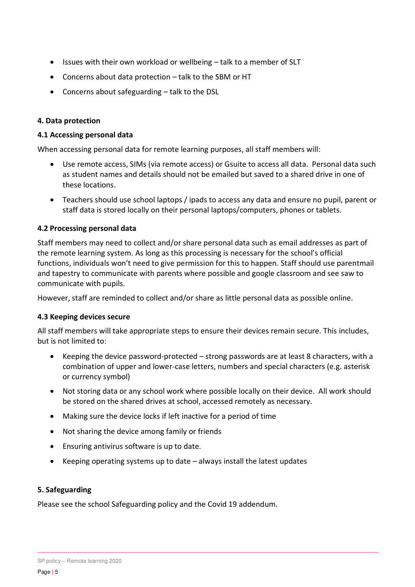- Issues with their own workload or wellbeing talk to a member of SLT
- Concerns about data protection talk to the SBM or HT
- Concerns about safeguarding talk to the DSL

### <span id="page-4-0"></span>**4. Data protection**

#### **4.1 Accessing personal data**

When accessing personal data for remote learning purposes, all staff members will:

- Use remote access, SIMs (via remote access) or Gsuite to access all data. Personal data such as student names and details should not be emailed but saved to a shared drive in one of these locations.
- Teachers should use school laptops / ipads to access any data and ensure no pupil, parent or staff data is stored locally on their personal laptops/computers, phones or tablets.

## **4.2 Processing personal data**

Staff members may need to collect and/or share personal data such as email addresses as part of the remote learning system. As long as this processing is necessary for the school's official functions, individuals won't need to give permission for this to happen. Staff should use parentmail and tapestry to communicate with parents where possible and google classroom and see saw to communicate with pupils.

However, staff are reminded to collect and/or share as little personal data as possible online.

## **4.3 Keeping devices secure**

All staff members will take appropriate steps to ensure their devices remain secure. This includes, but is not limited to:

- Keeping the device password-protected strong passwords are at least 8 characters, with a combination of upper and lower-case letters, numbers and special characters (e.g. asterisk or currency symbol)
- Not storing data or any school work where possible locally on their device. All work should be stored on the shared drives at school, accessed remotely as necessary.
- Making sure the device locks if left inactive for a period of time
- Not sharing the device among family or friends
- Ensuring antivirus software is up to date.
- Keeping operating systems up to date always install the latest updates

## <span id="page-4-1"></span>**5. Safeguarding**

Please see the school Safeguarding policy and the Covid 19 addendum.